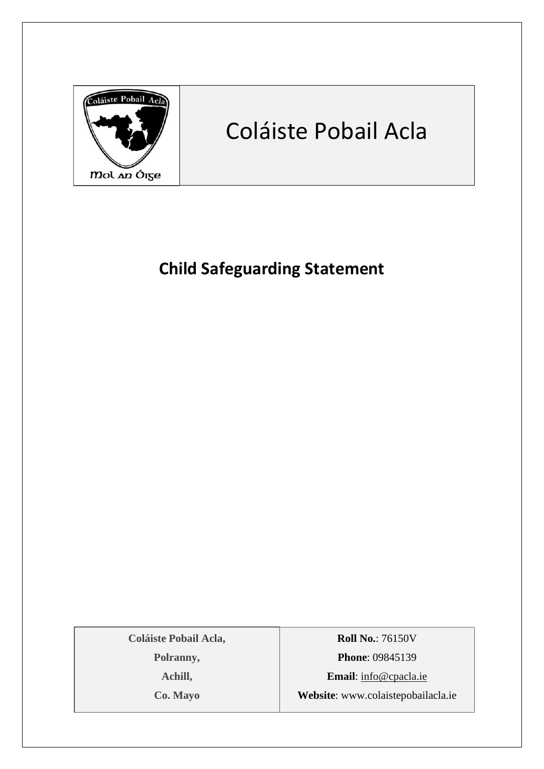

# Coláiste Pobail Acla

# **Child Safeguarding Statement**

**Coláiste Pobail Acla, Polranny, Achill, Co. Mayo**

**Roll No.**: 76150V **Phone**: 09845139 **Email**: [info@cpacla.ie](mailto:info@cpacla.ie) **Website**: www.colaistepobailacla.ie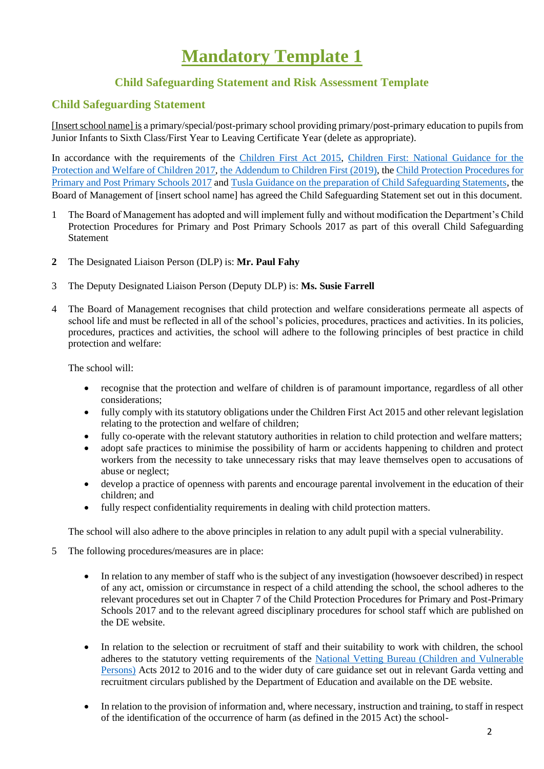# **Mandatory Template 1**

## **Child Safeguarding Statement and Risk Assessment Template**

### **Child Safeguarding Statement**

[Insert school name] is a primary/special/post-primary school providing primary/post-primary education to pupils from Junior Infants to Sixth Class/First Year to Leaving Certificate Year (delete as appropriate).

In accordance with the requirements of the [Children First Act 2015,](http://www.irishstatutebook.ie/eli/2015/act/36/enacted/en/pdf) [Children First: National Guidance for the](https://assets.gov.ie/25844/b90aafa55804462f84d05f87f0ca2bf6.pdf)  [Protection and Welfare of Children 2017,](https://assets.gov.ie/25844/b90aafa55804462f84d05f87f0ca2bf6.pdf) [the Addendum to Children First \(2019\),](https://assets.gov.ie/25819/c9744b64dfd6447985eeffa5c0d71bbb.pdf) the [Child Protection Procedures for](https://www.gov.ie/pdf/?file=https://assets.gov.ie/45063/2d4b5b3d781e4ec1ab4f3e5d198717d9.pdf#page=1)  [Primary and Post Primary Schools 2017](https://www.gov.ie/pdf/?file=https://assets.gov.ie/45063/2d4b5b3d781e4ec1ab4f3e5d198717d9.pdf#page=1) an[d Tusla Guidance on the preparation of Child Safeguarding Statements,](https://www.tusla.ie/uploads/content/4214-TUSLA_Guidance_on_Developing_a_CSS_LR.PDF) the Board of Management of [insert school name] has agreed the Child Safeguarding Statement set out in this document.

- 1 The Board of Management has adopted and will implement fully and without modification the Department's Child Protection Procedures for Primary and Post Primary Schools 2017 as part of this overall Child Safeguarding Statement
- **2** The Designated Liaison Person (DLP) is: **Mr. Paul Fahy**
- 3 The Deputy Designated Liaison Person (Deputy DLP) is: **Ms. Susie Farrell**
- 4 The Board of Management recognises that child protection and welfare considerations permeate all aspects of school life and must be reflected in all of the school's policies, procedures, practices and activities. In its policies, procedures, practices and activities, the school will adhere to the following principles of best practice in child protection and welfare:

The school will:

- recognise that the protection and welfare of children is of paramount importance, regardless of all other considerations;
- fully comply with its statutory obligations under the Children First Act 2015 and other relevant legislation relating to the protection and welfare of children;
- fully co-operate with the relevant statutory authorities in relation to child protection and welfare matters;
- adopt safe practices to minimise the possibility of harm or accidents happening to children and protect workers from the necessity to take unnecessary risks that may leave themselves open to accusations of abuse or neglect;
- develop a practice of openness with parents and encourage parental involvement in the education of their children; and
- fully respect confidentiality requirements in dealing with child protection matters.

The school will also adhere to the above principles in relation to any adult pupil with a special vulnerability.

- 5 The following procedures/measures are in place:
	- In relation to any member of staff who is the subject of any investigation (howsoever described) in respect of any act, omission or circumstance in respect of a child attending the school, the school adheres to the relevant procedures set out in Chapter 7 of the Child Protection Procedures for Primary and Post-Primary Schools 2017 and to the relevant agreed disciplinary procedures for school staff which are published on the DE website.
	- In relation to the selection or recruitment of staff and their suitability to work with children, the school adheres to the statutory vetting requirements of the [National Vetting Bureau \(Children and Vulnerable](https://revisedacts.lawreform.ie/eli/2012/act/47/revised/en/pdf)  [Persons\)](https://revisedacts.lawreform.ie/eli/2012/act/47/revised/en/pdf) Acts 2012 to 2016 and to the wider duty of care guidance set out in relevant Garda vetting and recruitment circulars published by the Department of Education and available on the DE website.
	- In relation to the provision of information and, where necessary, instruction and training, to staff in respect of the identification of the occurrence of harm (as defined in the 2015 Act) the school-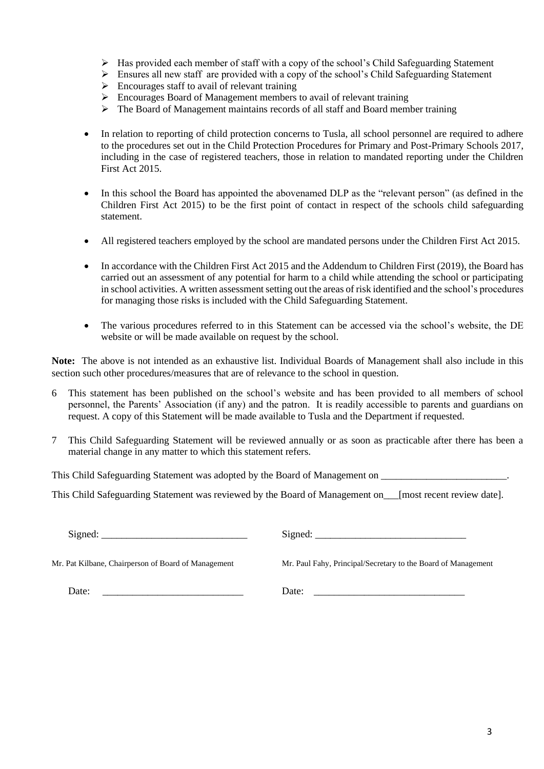- ➢ Has provided each member of staff with a copy of the school's Child Safeguarding Statement
- ➢ Ensures all new staff are provided with a copy of the school's Child Safeguarding Statement
- $\triangleright$  Encourages staff to avail of relevant training
- ➢ Encourages Board of Management members to avail of relevant training
- $\triangleright$  The Board of Management maintains records of all staff and Board member training
- In relation to reporting of child protection concerns to Tusla, all school personnel are required to adhere to the procedures set out in the Child Protection Procedures for Primary and Post-Primary Schools 2017, including in the case of registered teachers, those in relation to mandated reporting under the Children First Act 2015.
- In this school the Board has appointed the abovenamed DLP as the "relevant person" (as defined in the Children First Act 2015) to be the first point of contact in respect of the schools child safeguarding statement.
- All registered teachers employed by the school are mandated persons under the Children First Act 2015.
- In accordance with the Children First Act 2015 and the Addendum to Children First (2019), the Board has carried out an assessment of any potential for harm to a child while attending the school or participating in school activities. A written assessment setting out the areas of risk identified and the school's procedures for managing those risks is included with the Child Safeguarding Statement.
- The various procedures referred to in this Statement can be accessed via the school's website, the DE website or will be made available on request by the school.

**Note:** The above is not intended as an exhaustive list. Individual Boards of Management shall also include in this section such other procedures/measures that are of relevance to the school in question.

- 6 This statement has been published on the school's website and has been provided to all members of school personnel, the Parents' Association (if any) and the patron. It is readily accessible to parents and guardians on request. A copy of this Statement will be made available to Tusla and the Department if requested.
- 7 This Child Safeguarding Statement will be reviewed annually or as soon as practicable after there has been a material change in any matter to which this statement refers.

This Child Safeguarding Statement was adopted by the Board of Management on  $\blacksquare$ 

This Child Safeguarding Statement was reviewed by the Board of Management on [most recent review date].

Signed: \_\_\_\_\_\_\_\_\_\_\_\_\_\_\_\_\_\_\_\_\_\_\_\_\_\_\_\_\_ Signed: \_\_\_\_\_\_\_\_\_\_\_\_\_\_\_\_\_\_\_\_\_\_\_\_\_\_\_\_\_\_

Mr. Pat Kilbane, Chairperson of Board of Management Mr. Paul Fahy, Principal/Secretary to the Board of Management

Date: \_\_\_\_\_\_\_\_\_\_\_\_\_\_\_\_\_\_\_\_\_\_\_\_\_\_\_\_ Date: \_\_\_\_\_\_\_\_\_\_\_\_\_\_\_\_\_\_\_\_\_\_\_\_\_\_\_\_\_\_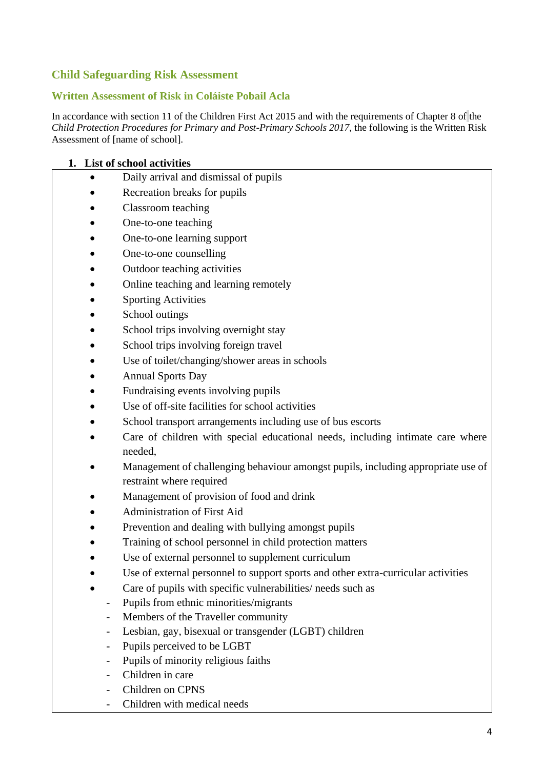## **Child Safeguarding Risk Assessment**

#### **Written Assessment of Risk in Coláiste Pobail Acla**

In accordance with section 11 of the Children First Act 2015 and with the requirements of Chapter 8 of the *Child Protection Procedures for Primary and Post-Primary Schools 2017*, the following is the Written Risk Assessment of [name of school].

#### **1. List of school activities**

- Daily arrival and dismissal of pupils
- Recreation breaks for pupils
- Classroom teaching
- One-to-one teaching
- One-to-one learning support
- One-to-one counselling
- Outdoor teaching activities
- Online teaching and learning remotely
- **Sporting Activities**
- School outings
- School trips involving overnight stay
- School trips involving foreign travel
- Use of toilet/changing/shower areas in schools
- Annual Sports Day
- Fundraising events involving pupils
- Use of off-site facilities for school activities
- School transport arrangements including use of bus escorts
- Care of children with special educational needs, including intimate care where needed,
- Management of challenging behaviour amongst pupils, including appropriate use of restraint where required
- Management of provision of food and drink
- Administration of First Aid
- Prevention and dealing with bullying amongst pupils
- Training of school personnel in child protection matters
- Use of external personnel to supplement curriculum
- Use of external personnel to support sports and other extra-curricular activities
- Care of pupils with specific vulnerabilities/ needs such as
	- Pupils from ethnic minorities/migrants
	- Members of the Traveller community
	- Lesbian, gay, bisexual or transgender (LGBT) children
	- Pupils perceived to be LGBT
	- Pupils of minority religious faiths
	- Children in care
	- Children on CPNS
	- Children with medical needs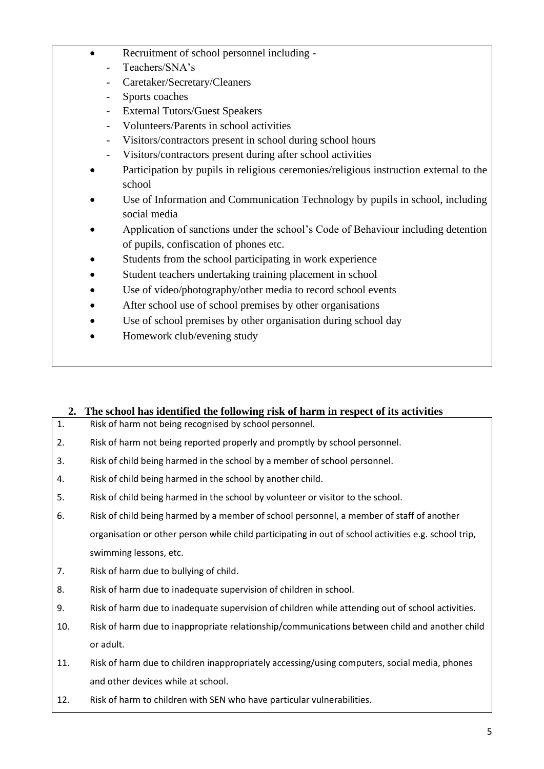- Recruitment of school personnel including -
	- Teachers/SNA's
	- Caretaker/Secretary/Cleaners
	- Sports coaches
	- External Tutors/Guest Speakers
	- Volunteers/Parents in school activities
	- Visitors/contractors present in school during school hours
	- Visitors/contractors present during after school activities
- Participation by pupils in religious ceremonies/religious instruction external to the school
- Use of Information and Communication Technology by pupils in school, including social media
- Application of sanctions under the school's Code of Behaviour including detention of pupils, confiscation of phones etc.
- Students from the school participating in work experience
- Student teachers undertaking training placement in school
- Use of video/photography/other media to record school events
- After school use of school premises by other organisations
- Use of school premises by other organisation during school day
- Homework club/evening study

### **2. The school has identified the following risk of harm in respect of its activities**

- 1. Risk of harm not being recognised by school personnel.
- 2. Risk of harm not being reported properly and promptly by school personnel.
- 3. Risk of child being harmed in the school by a member of school personnel.
- 4. Risk of child being harmed in the school by another child.
- 5. Risk of child being harmed in the school by volunteer or visitor to the school.
- 6. Risk of child being harmed by a member of school personnel, a member of staff of another organisation or other person while child participating in out of school activities e.g. school trip, swimming lessons, etc.
- 7. Risk of harm due to bullying of child.
- 8. Risk of harm due to inadequate supervision of children in school.
- 9. Risk of harm due to inadequate supervision of children while attending out of school activities.
- 10. Risk of harm due to inappropriate relationship/communications between child and another child or adult.
- 11. Risk of harm due to children inappropriately accessing/using computers, social media, phones and other devices while at school.
- 12. Risk of harm to children with SEN who have particular vulnerabilities.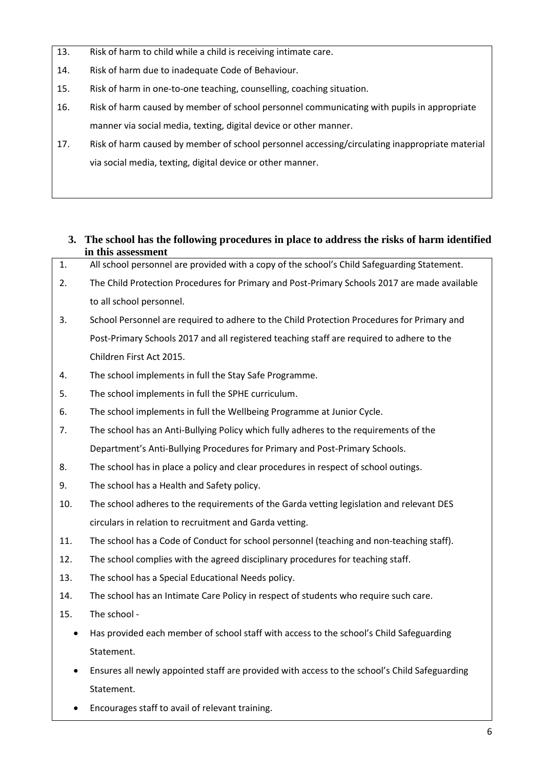- 13. Risk of harm to child while a child is receiving intimate care.
- 14. Risk of harm due to inadequate Code of Behaviour.
- 15. Risk of harm in one-to-one teaching, counselling, coaching situation.
- 16. Risk of harm caused by member of school personnel communicating with pupils in appropriate manner via social media, texting, digital device or other manner.
- 17. Risk of harm caused by member of school personnel accessing/circulating inappropriate material via social media, texting, digital device or other manner.
	- **3. The school has the following procedures in place to address the risks of harm identified in this assessment**
- 1. All school personnel are provided with a copy of the school's Child Safeguarding Statement.
- 2. The Child Protection Procedures for Primary and Post-Primary Schools 2017 are made available to all school personnel.
- 3. School Personnel are required to adhere to the Child Protection Procedures for Primary and Post-Primary Schools 2017 and all registered teaching staff are required to adhere to the Children First Act 2015.
- 4. The school implements in full the Stay Safe Programme.
- 5. The school implements in full the SPHE curriculum.
- 6. The school implements in full the Wellbeing Programme at Junior Cycle.
- 7. The school has an Anti-Bullying Policy which fully adheres to the requirements of the Department's Anti-Bullying Procedures for Primary and Post-Primary Schools.
- 8. The school has in place a policy and clear procedures in respect of school outings.
- 9. The school has a Health and Safety policy.
- 10. The school adheres to the requirements of the Garda vetting legislation and relevant DES circulars in relation to recruitment and Garda vetting.
- 11. The school has a Code of Conduct for school personnel (teaching and non-teaching staff).
- 12. The school complies with the agreed disciplinary procedures for teaching staff.
- 13. The school has a Special Educational Needs policy.
- 14. The school has an Intimate Care Policy in respect of students who require such care.
- 15. The school
	- Has provided each member of school staff with access to the school's Child Safeguarding Statement.
	- Ensures all newly appointed staff are provided with access to the school's Child Safeguarding Statement.
	- Encourages staff to avail of relevant training.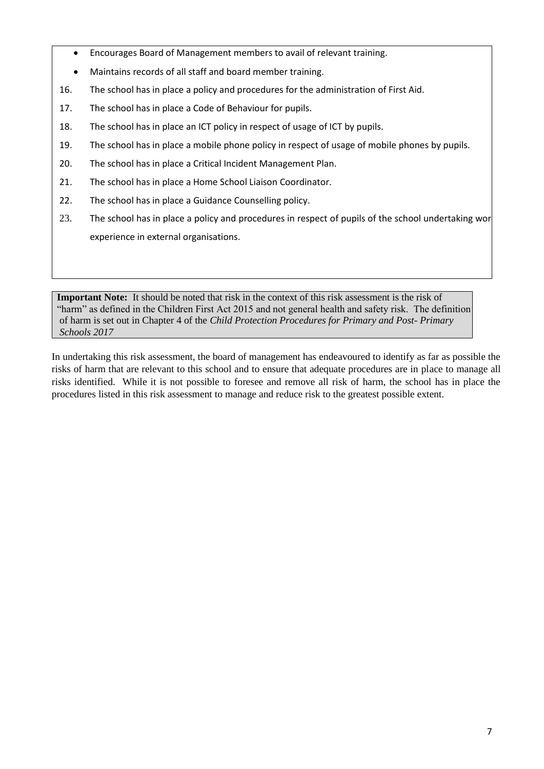- Encourages Board of Management members to avail of relevant training.
- Maintains records of all staff and board member training.
- 16. The school has in place a policy and procedures for the administration of First Aid.
- 17. The school has in place a Code of Behaviour for pupils.
- 18. The school has in place an ICT policy in respect of usage of ICT by pupils.
- 19. The school has in place a mobile phone policy in respect of usage of mobile phones by pupils.
- 20. The school has in place a Critical Incident Management Plan.
- 21. The school has in place a Home School Liaison Coordinator.
- 22. The school has in place a Guidance Counselling policy.
- 23. The school has in place a policy and procedures in respect of pupils of the school undertaking wor experience in external organisations.

**Important Note:** It should be noted that risk in the context of this risk assessment is the risk of "harm" as defined in the Children First Act 2015 and not general health and safety risk. The definition of harm is set out in Chapter 4 of the *Child Protection Procedures for Primary and Post- Primary Schools 2017*

In undertaking this risk assessment, the board of management has endeavoured to identify as far as possible the risks of harm that are relevant to this school and to ensure that adequate procedures are in place to manage all risks identified. While it is not possible to foresee and remove all risk of harm, the school has in place the procedures listed in this risk assessment to manage and reduce risk to the greatest possible extent.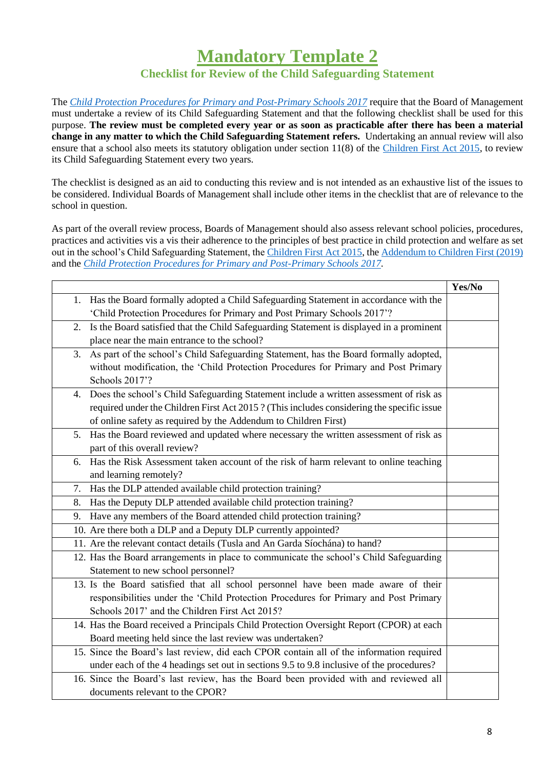# **Mandatory Template 2**

# **Checklist for Review of the Child Safeguarding Statement**

The *[Child Protection Procedures for Primary and Post-Primary Schools 2017](https://www.gov.ie/pdf/?file=https://assets.gov.ie/45063/2d4b5b3d781e4ec1ab4f3e5d198717d9.pdf#page=1)* require that the Board of Management must undertake a review of its Child Safeguarding Statement and that the following checklist shall be used for this purpose. **The review must be completed every year or as soon as practicable after there has been a material change in any matter to which the Child Safeguarding Statement refers.** Undertaking an annual review will also ensure that a school also meets its statutory obligation under section 11(8) of the [Children First Act 2015,](http://www.irishstatutebook.ie/eli/2015/act/36/enacted/en/pdf) to review its Child Safeguarding Statement every two years.

The checklist is designed as an aid to conducting this review and is not intended as an exhaustive list of the issues to be considered. Individual Boards of Management shall include other items in the checklist that are of relevance to the school in question.

As part of the overall review process, Boards of Management should also assess relevant school policies, procedures, practices and activities vis a vis their adherence to the principles of best practice in child protection and welfare as set out in the school's Child Safeguarding Statement, the [Children First Act 2015,](http://www.irishstatutebook.ie/eli/2015/act/36/enacted/en/pdf) the [Addendum to Children First \(2019\)](https://assets.gov.ie/25819/c9744b64dfd6447985eeffa5c0d71bbb.pdf) and the *[Child Protection Procedures for Primary and Post-Primary Schools 2017.](https://www.gov.ie/pdf/?file=https://assets.gov.ie/45063/2d4b5b3d781e4ec1ab4f3e5d198717d9.pdf#page=1)*

|                                                                                                | Yes/No |
|------------------------------------------------------------------------------------------------|--------|
| 1. Has the Board formally adopted a Child Safeguarding Statement in accordance with the        |        |
| 'Child Protection Procedures for Primary and Post Primary Schools 2017'?                       |        |
| Is the Board satisfied that the Child Safeguarding Statement is displayed in a prominent<br>2. |        |
| place near the main entrance to the school?                                                    |        |
| As part of the school's Child Safeguarding Statement, has the Board formally adopted,<br>3.    |        |
| without modification, the 'Child Protection Procedures for Primary and Post Primary            |        |
| Schools 2017'?                                                                                 |        |
| Does the school's Child Safeguarding Statement include a written assessment of risk as<br>4.   |        |
| required under the Children First Act 2015? (This includes considering the specific issue      |        |
| of online safety as required by the Addendum to Children First)                                |        |
| Has the Board reviewed and updated where necessary the written assessment of risk as<br>5.     |        |
| part of this overall review?                                                                   |        |
| Has the Risk Assessment taken account of the risk of harm relevant to online teaching<br>6.    |        |
| and learning remotely?                                                                         |        |
| Has the DLP attended available child protection training?<br>7.                                |        |
| Has the Deputy DLP attended available child protection training?<br>8.                         |        |
| Have any members of the Board attended child protection training?<br>9.                        |        |
| 10. Are there both a DLP and a Deputy DLP currently appointed?                                 |        |
| 11. Are the relevant contact details (Tusla and An Garda Síochána) to hand?                    |        |
| 12. Has the Board arrangements in place to communicate the school's Child Safeguarding         |        |
| Statement to new school personnel?                                                             |        |
| 13. Is the Board satisfied that all school personnel have been made aware of their             |        |
| responsibilities under the 'Child Protection Procedures for Primary and Post Primary           |        |
| Schools 2017' and the Children First Act 2015?                                                 |        |
| 14. Has the Board received a Principals Child Protection Oversight Report (CPOR) at each       |        |
| Board meeting held since the last review was undertaken?                                       |        |
| 15. Since the Board's last review, did each CPOR contain all of the information required       |        |
| under each of the 4 headings set out in sections 9.5 to 9.8 inclusive of the procedures?       |        |
| 16. Since the Board's last review, has the Board been provided with and reviewed all           |        |
| documents relevant to the CPOR?                                                                |        |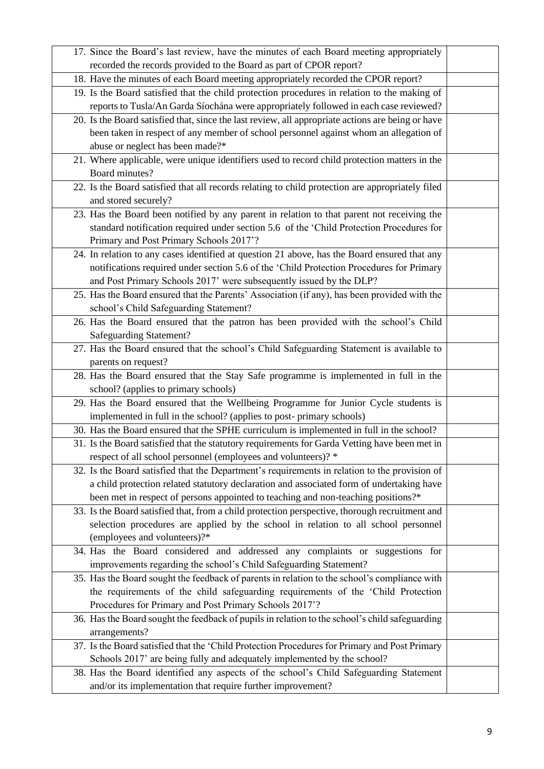| 17. Since the Board's last review, have the minutes of each Board meeting appropriately           |  |
|---------------------------------------------------------------------------------------------------|--|
| recorded the records provided to the Board as part of CPOR report?                                |  |
| 18. Have the minutes of each Board meeting appropriately recorded the CPOR report?                |  |
| 19. Is the Board satisfied that the child protection procedures in relation to the making of      |  |
| reports to Tusla/An Garda Síochána were appropriately followed in each case reviewed?             |  |
| 20. Is the Board satisfied that, since the last review, all appropriate actions are being or have |  |
| been taken in respect of any member of school personnel against whom an allegation of             |  |
| abuse or neglect has been made?*                                                                  |  |
| 21. Where applicable, were unique identifiers used to record child protection matters in the      |  |
| Board minutes?                                                                                    |  |
| 22. Is the Board satisfied that all records relating to child protection are appropriately filed  |  |
| and stored securely?                                                                              |  |
| 23. Has the Board been notified by any parent in relation to that parent not receiving the        |  |
| standard notification required under section 5.6 of the 'Child Protection Procedures for          |  |
| Primary and Post Primary Schools 2017'?                                                           |  |
| 24. In relation to any cases identified at question 21 above, has the Board ensured that any      |  |
| notifications required under section 5.6 of the 'Child Protection Procedures for Primary          |  |
| and Post Primary Schools 2017' were subsequently issued by the DLP?                               |  |
| 25. Has the Board ensured that the Parents' Association (if any), has been provided with the      |  |
| school's Child Safeguarding Statement?                                                            |  |
| 26. Has the Board ensured that the patron has been provided with the school's Child               |  |
| <b>Safeguarding Statement?</b>                                                                    |  |
| 27. Has the Board ensured that the school's Child Safeguarding Statement is available to          |  |
| parents on request?                                                                               |  |
| 28. Has the Board ensured that the Stay Safe programme is implemented in full in the              |  |
| school? (applies to primary schools)                                                              |  |
| 29. Has the Board ensured that the Wellbeing Programme for Junior Cycle students is               |  |
| implemented in full in the school? (applies to post-primary schools)                              |  |
| 30. Has the Board ensured that the SPHE curriculum is implemented in full in the school?          |  |
| 31. Is the Board satisfied that the statutory requirements for Garda Vetting have been met in     |  |
| respect of all school personnel (employees and volunteers)? *                                     |  |
| 32. Is the Board satisfied that the Department's requirements in relation to the provision of     |  |
| a child protection related statutory declaration and associated form of undertaking have          |  |
| been met in respect of persons appointed to teaching and non-teaching positions?*                 |  |
| 33. Is the Board satisfied that, from a child protection perspective, thorough recruitment and    |  |
| selection procedures are applied by the school in relation to all school personnel                |  |
| (employees and volunteers)?*                                                                      |  |
| 34. Has the Board considered and addressed any complaints or suggestions for                      |  |
| improvements regarding the school's Child Safeguarding Statement?                                 |  |
| 35. Has the Board sought the feedback of parents in relation to the school's compliance with      |  |
| the requirements of the child safeguarding requirements of the 'Child Protection                  |  |
| Procedures for Primary and Post Primary Schools 2017'?                                            |  |
| 36. Has the Board sought the feedback of pupils in relation to the school's child safeguarding    |  |
| arrangements?                                                                                     |  |
| 37. Is the Board satisfied that the 'Child Protection Procedures for Primary and Post Primary     |  |
| Schools 2017' are being fully and adequately implemented by the school?                           |  |
| 38. Has the Board identified any aspects of the school's Child Safeguarding Statement             |  |
| and/or its implementation that require further improvement?                                       |  |
|                                                                                                   |  |